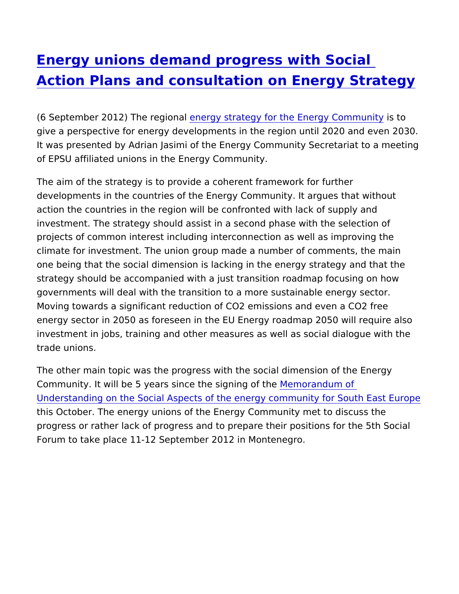## [Energy unions demand progress wit](https://www.epsu.org/article/energy-unions-demand-progress-social-action-plans-and-consultation-energy-strategy)h Social [Action Plans and consultation on Energ](https://www.epsu.org/article/energy-unions-demand-progress-social-action-plans-and-consultation-energy-strategy)y Str

(6 September 2012) The erreegrig yn as trategy for the Energy iGs otrom unity give a perspective for energy developments in the region until 20 It was presented by Adrian Jasimi of the Energy Community Secre of EPSU affiliated unions in the Energy Community.

The aim of the strategy is to provide a coherent framework for furthermode. developments in the countries of the Energy Community. It argues action the countries in the region will be confronted with lack of investment. The strategy should assist in a second phase with the projects of common interest including interconnection as well as climate for investment. The union group made a number of comme one being that the social dimension is lacking in the energy strat strategy should be accompanied with a just transition roadmap fo governments will deal with the transition to a more sustainable en Moving towards a significant reduction of CO2 emissions and ever energy sector in 2050 as foreseen in the EU Energy roadmap 2050 investment in jobs, training and other measures as well as social trade unions.

The other main topic was the progress with the social dimension of Community. It will be 5 years since the smoorning of the [Understanding on the Social Aspects of the energy communi](http://www.energy-community.org/portal/page/portal/ENC_HOME/AREAS_OF_WORK/SOCIAL_ISSUES/Memorandum)ty for this October. The energy unions of the Energy Community met to progress or rather lack of progress and to prepare their positions Forum to take place 11-12 September 2012 in Montenegro.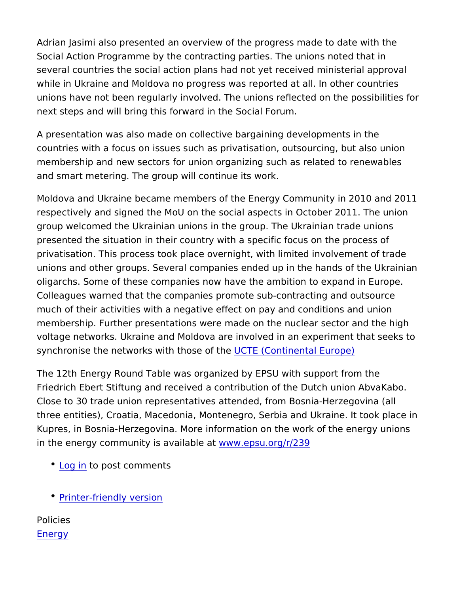Adrian Jasimi also presented an overview of the progress made to Social Action Programme by the contracting parties. The unions n several countries the social action plans had not yet received mir while in Ukraine and Moldova no progress was reported at all. In unions have not been regularly involved. The unions reflected on next steps and will bring this forward in the Social Forum.

A presentation was also made on collective bargaining developme countries with a focus on issues such as privatisation, outsourcin membership and new sectors for union organizing such as related and smart metering. The group will continue its work.

Moldova and Ukraine became members of the Energy Community in respectively and signed the MoU on the social aspects in October group welcomed the Ukrainian unions in the group. The Ukrainian presented the situation in their country with a specific focus on t privatisation. This process took place overnight, with limited invo unions and other groups. Several companies ended up in the hand oligarchs. Some of these companies now have the ambition to exp Colleagues warned that the companies promote sub-contracting and  $\overline{a}$ much of their activities with a negative effect on pay and conditions membership. Further presentations were made on the nuclear sect voltage networks. Ukraine and Moldova are involved in an experin synchronise the networks with  $t$ h $\omega$   $\bar{E}$   $\theta$   $\alpha$   $\theta$   $\theta$   $\alpha$   $\theta$   $\theta$   $\theta$   $\theta$   $\theta$   $\theta$ 

The 12th Energy Round Table was organized by EPSU with suppor Friedrich Ebert Stiftung and received a contribution of the Dutch Close to 30 trade union representatives attended, from Bosnia-He three entities), Croatia, Macedonia, Montenegro, Serbia and Ukra Kupres, in Bosnia-Herzegovina. More information on the work of t in the energy community is awaw.wable unity is the  $\frac{1}{239}$ 

- [Log](https://www.epsu.org/user/login?destination=/article/energy-unions-demand-progress-social-action-plans-and-consultation-energy-strategy#comment-form) ino post comments
- [Printer-friendly](https://www.epsu.org/entityprint/pdf/node/5907) version

Policies [Ener](https://www.epsu.org/policies/energy-0)gy